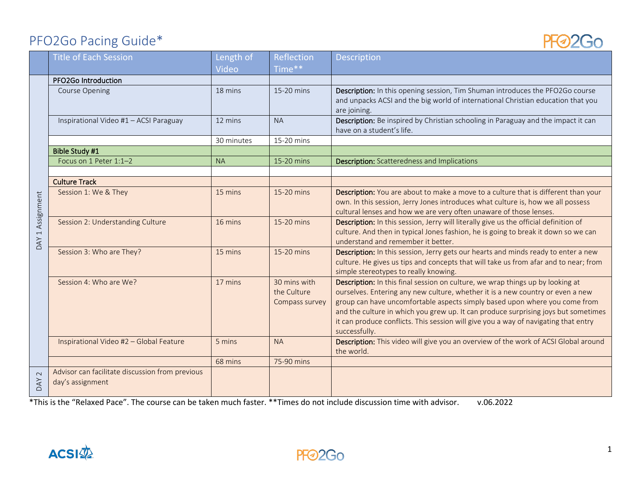## PFO2Go Pacing Guide\*

| PFO2Go Pacing Guide* |                                                                     |                    |                                               |                                                                                                                                                                                                                                                                                                                                                                                                                                              |
|----------------------|---------------------------------------------------------------------|--------------------|-----------------------------------------------|----------------------------------------------------------------------------------------------------------------------------------------------------------------------------------------------------------------------------------------------------------------------------------------------------------------------------------------------------------------------------------------------------------------------------------------------|
|                      | <b>Title of Each Session</b>                                        | Length of<br>Video | Reflection<br>Time**                          | <b>Description</b>                                                                                                                                                                                                                                                                                                                                                                                                                           |
|                      | PFO2Go Introduction                                                 |                    |                                               |                                                                                                                                                                                                                                                                                                                                                                                                                                              |
|                      | Course Opening                                                      | 18 mins            | 15-20 mins                                    | Description: In this opening session, Tim Shuman introduces the PFO2Go course<br>and unpacks ACSI and the big world of international Christian education that you<br>are joining.                                                                                                                                                                                                                                                            |
|                      | Inspirational Video #1 - ACSI Paraguay                              | 12 mins            | <b>NA</b>                                     | Description: Be inspired by Christian schooling in Paraguay and the impact it can<br>have on a student's life.                                                                                                                                                                                                                                                                                                                               |
|                      |                                                                     | 30 minutes         | 15-20 mins                                    |                                                                                                                                                                                                                                                                                                                                                                                                                                              |
|                      | Bible Study #1                                                      |                    |                                               |                                                                                                                                                                                                                                                                                                                                                                                                                                              |
|                      | Focus on 1 Peter 1:1-2                                              | <b>NA</b>          | 15-20 mins                                    | <b>Description:</b> Scatteredness and Implications                                                                                                                                                                                                                                                                                                                                                                                           |
|                      |                                                                     |                    |                                               |                                                                                                                                                                                                                                                                                                                                                                                                                                              |
|                      | <b>Culture Track</b>                                                |                    |                                               |                                                                                                                                                                                                                                                                                                                                                                                                                                              |
| DAY 1 Assignment     | Session 1: We & They                                                | 15 mins            | 15-20 mins                                    | Description: You are about to make a move to a culture that is different than your<br>own. In this session, Jerry Jones introduces what culture is, how we all possess<br>cultural lenses and how we are very often unaware of those lenses.                                                                                                                                                                                                 |
|                      | Session 2: Understanding Culture                                    | 16 mins            | 15-20 mins                                    | Description: In this session, Jerry will literally give us the official definition of<br>culture. And then in typical Jones fashion, he is going to break it down so we can<br>understand and remember it better.                                                                                                                                                                                                                            |
|                      | Session 3: Who are They?                                            | 15 mins            | 15-20 mins                                    | Description: In this session, Jerry gets our hearts and minds ready to enter a new<br>culture. He gives us tips and concepts that will take us from afar and to near; from<br>simple stereotypes to really knowing.                                                                                                                                                                                                                          |
|                      | Session 4: Who are We?                                              | 17 mins            | 30 mins with<br>the Culture<br>Compass survey | Description: In this final session on culture, we wrap things up by looking at<br>ourselves. Entering any new culture, whether it is a new country or even a new<br>group can have uncomfortable aspects simply based upon where you come from<br>and the culture in which you grew up. It can produce surprising joys but sometimes<br>it can produce conflicts. This session will give you a way of navigating that entry<br>successfully. |
|                      | Inspirational Video #2 - Global Feature                             | 5 mins             | <b>NA</b>                                     | Description: This video will give you an overview of the work of ACSI Global around<br>the world.                                                                                                                                                                                                                                                                                                                                            |
|                      |                                                                     | 68 mins            | 75-90 mins                                    |                                                                                                                                                                                                                                                                                                                                                                                                                                              |
| DAY <sub>2</sub>     | Advisor can facilitate discussion from previous<br>day's assignment |                    |                                               |                                                                                                                                                                                                                                                                                                                                                                                                                                              |

\*This is the "Relaxed Pace". The course can be taken much faster. \*\*Times do not include discussion time with advisor. v.06.2022



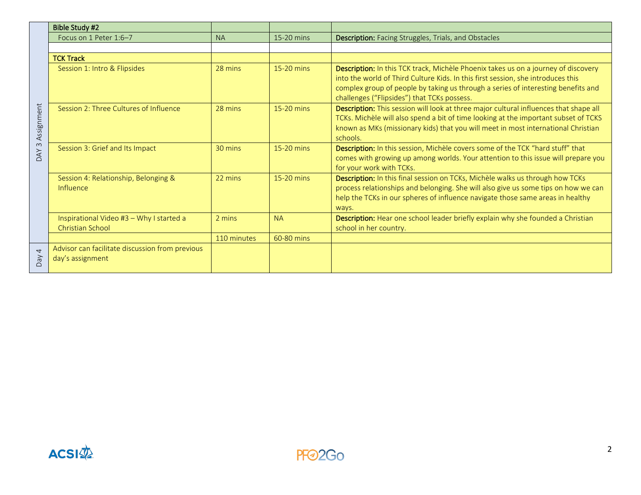|                                | <b>Bible Study #2</b>                                               |             |              |                                                                                                                                                                                                                                                                                                            |
|--------------------------------|---------------------------------------------------------------------|-------------|--------------|------------------------------------------------------------------------------------------------------------------------------------------------------------------------------------------------------------------------------------------------------------------------------------------------------------|
| Assignment<br>$\infty$<br>DAY. | Focus on 1 Peter 1:6-7                                              | <b>NA</b>   | 15-20 mins   | <b>Description:</b> Facing Struggles, Trials, and Obstacles                                                                                                                                                                                                                                                |
|                                |                                                                     |             |              |                                                                                                                                                                                                                                                                                                            |
|                                | <b>TCK Track</b>                                                    |             |              |                                                                                                                                                                                                                                                                                                            |
|                                | Session 1: Intro & Flipsides                                        | 28 mins     | 15-20 mins   | Description: In this TCK track, Michèle Phoenix takes us on a journey of discovery<br>into the world of Third Culture Kids. In this first session, she introduces this<br>complex group of people by taking us through a series of interesting benefits and<br>challenges ("Flipsides") that TCKs possess. |
|                                | Session 2: Three Cultures of Influence                              | 28 mins     | $15-20$ mins | Description: This session will look at three major cultural influences that shape all<br>TCKs. Michèle will also spend a bit of time looking at the important subset of TCKS<br>known as MKs (missionary kids) that you will meet in most international Christian<br>schools.                              |
|                                | Session 3: Grief and Its Impact                                     | 30 mins     | 15-20 mins   | Description: In this session, Michèle covers some of the TCK "hard stuff" that<br>comes with growing up among worlds. Your attention to this issue will prepare you<br>for your work with TCKs.                                                                                                            |
|                                | Session 4: Relationship, Belonging &<br>Influence                   | 22 mins     | 15-20 mins   | Description: In this final session on TCKs, Michèle walks us through how TCKs<br>process relationships and belonging. She will also give us some tips on how we can<br>help the TCKs in our spheres of influence navigate those same areas in healthy<br>ways.                                             |
|                                | Inspirational Video #3 - Why I started a<br>Christian School        | 2 mins      | <b>NA</b>    | Description: Hear one school leader briefly explain why she founded a Christian<br>school in her country.                                                                                                                                                                                                  |
|                                |                                                                     | 110 minutes | 60-80 mins   |                                                                                                                                                                                                                                                                                                            |
| $\overline{4}$<br>VeQ          | Advisor can facilitate discussion from previous<br>day's assignment |             |              |                                                                                                                                                                                                                                                                                                            |

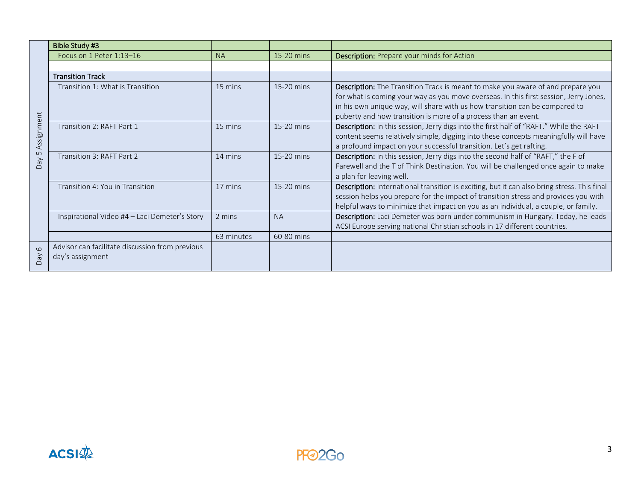| Assignment<br>$\overline{5}$<br>VeQ | <b>Bible Study #3</b>                                               |            |            |                                                                                                                                                                                                                                                                                                                           |
|-------------------------------------|---------------------------------------------------------------------|------------|------------|---------------------------------------------------------------------------------------------------------------------------------------------------------------------------------------------------------------------------------------------------------------------------------------------------------------------------|
|                                     | Focus on 1 Peter 1:13-16                                            | <b>NA</b>  | 15-20 mins | <b>Description:</b> Prepare your minds for Action                                                                                                                                                                                                                                                                         |
|                                     |                                                                     |            |            |                                                                                                                                                                                                                                                                                                                           |
|                                     | <b>Transition Track</b>                                             |            |            |                                                                                                                                                                                                                                                                                                                           |
|                                     | Transition 1: What is Transition                                    | 15 mins    | 15-20 mins | Description: The Transition Track is meant to make you aware of and prepare you<br>for what is coming your way as you move overseas. In this first session, Jerry Jones,<br>in his own unique way, will share with us how transition can be compared to<br>puberty and how transition is more of a process than an event. |
|                                     | Transition 2: RAFT Part 1                                           | 15 mins    | 15-20 mins | Description: In this session, Jerry digs into the first half of "RAFT." While the RAFT<br>content seems relatively simple, digging into these concepts meaningfully will have<br>a profound impact on your successful transition. Let's get rafting.                                                                      |
|                                     | Transition 3: RAFT Part 2                                           | 14 mins    | 15-20 mins | Description: In this session, Jerry digs into the second half of "RAFT," the F of<br>Farewell and the T of Think Destination. You will be challenged once again to make<br>a plan for leaving well.                                                                                                                       |
|                                     | Transition 4: You in Transition                                     | 17 mins    | 15-20 mins | Description: International transition is exciting, but it can also bring stress. This final<br>session helps you prepare for the impact of transition stress and provides you with<br>helpful ways to minimize that impact on you as an individual, a couple, or family.                                                  |
|                                     | Inspirational Video #4 - Laci Demeter's Story                       | 2 mins     | <b>NA</b>  | Description: Laci Demeter was born under communism in Hungary. Today, he leads<br>ACSI Europe serving national Christian schools in 17 different countries.                                                                                                                                                               |
|                                     |                                                                     | 63 minutes | 60-80 mins |                                                                                                                                                                                                                                                                                                                           |
| $\circ$<br>VeQ                      | Advisor can facilitate discussion from previous<br>day's assignment |            |            |                                                                                                                                                                                                                                                                                                                           |